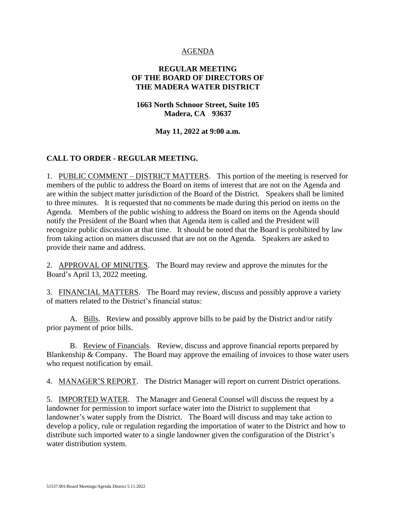## AGENDA

# **REGULAR MEETING OF THE BOARD OF DIRECTORS OF THE MADERA WATER DISTRICT**

# **1663 North Schnoor Street, Suite 105 Madera, CA 93637**

### **May 11, 2022 at 9:00 a.m.**

# **CALL TO ORDER - REGULAR MEETING.**

1. PUBLIC COMMENT – DISTRICT MATTERS. This portion of the meeting is reserved for members of the public to address the Board on items of interest that are not on the Agenda and are within the subject matter jurisdiction of the Board of the District. Speakers shall be limited to three minutes. It is requested that no comments be made during this period on items on the Agenda. Members of the public wishing to address the Board on items on the Agenda should notify the President of the Board when that Agenda item is called and the President will recognize public discussion at that time. It should be noted that the Board is prohibited by law from taking action on matters discussed that are not on the Agenda. Speakers are asked to provide their name and address.

2. APPROVAL OF MINUTES. The Board may review and approve the minutes for the Board's April 13, 2022 meeting.

3. FINANCIAL MATTERS. The Board may review, discuss and possibly approve a variety of matters related to the District's financial status:

A. Bills. Review and possibly approve bills to be paid by the District and/or ratify prior payment of prior bills.

B. Review of Financials. Review, discuss and approve financial reports prepared by Blankenship  $& Company.$  The Board may approve the emailing of invoices to those water users who request notification by email.

4. MANAGER'S REPORT. The District Manager will report on current District operations.

5. IMPORTED WATER. The Manager and General Counsel will discuss the request by a landowner for permission to import surface water into the District to supplement that landowner's water supply from the District. The Board will discuss and may take action to develop a policy, rule or regulation regarding the importation of water to the District and how to distribute such imported water to a single landowner given the configuration of the District's water distribution system.